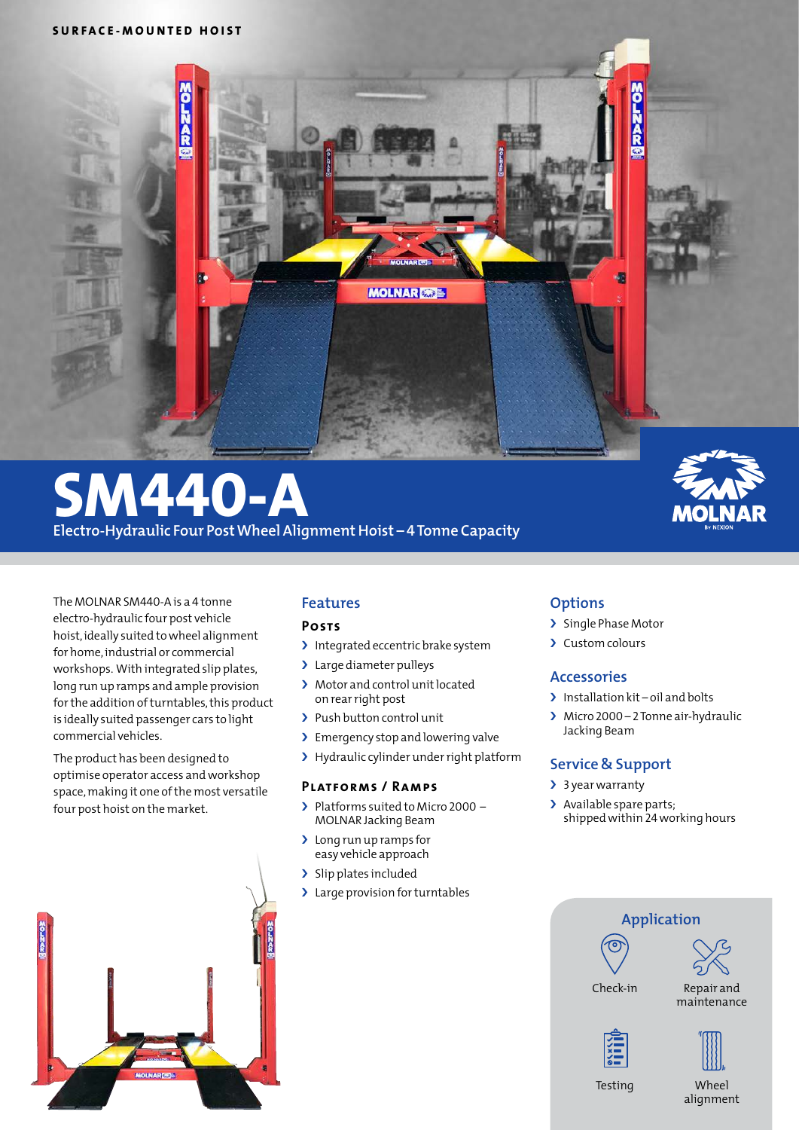

# **SM440-A Electro-Hydraulic Four Post Wheel Alignment Hoist – 4 Tonne Capacity**



The MOLNAR SM440-Ais a 4 tonne electro-hydraulic four post vehicle hoist, ideally suited to wheel alignment for home,industrial or commercial workshops. With integrated slip plates, long run up ramps and ample provision for the addition of turntables, this product is ideally suited passenger cars to light commercial vehicles.

The product has been designed to optimise operator access andworkshop space, making it one of the most versatile four post hoist on the market.



# **Features**

### **Posts**

- > Integrated eccentric brake system
- > Large diameter pulleys
- > Motor and control unit located on rearright post
- > Push button control unit
- > Emergency stop and lowering valve
- > Hydraulic cylinder under right platform

#### **Platforms / Ramps**

- › Platforms suited to Micro 2000 MOLNAR Jacking Beam
- > Long run up ramps for easy vehicle approach
- > Slip plates included
- > Large provision for turntables

### **Options**

- › Single Phase Motor
- › Custom colours

### **Accessories**

- > Installation kit oil and bolts
- › Micro 2000 2Tonne air-hydraulic Jacking Beam

## **Service & Support**

- > 3 year warranty
- > Available spare parts; shippedwithin 24working hours